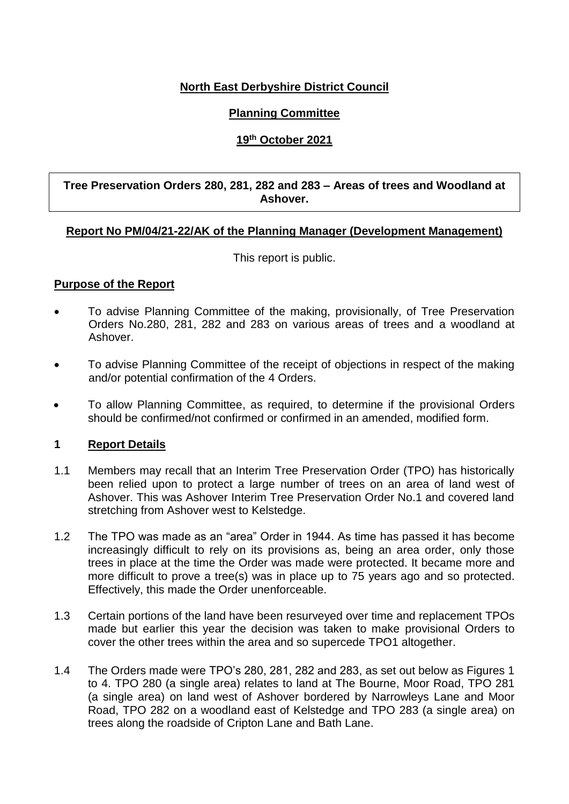# **North East Derbyshire District Council**

# **Planning Committee**

# **19th October 2021**

#### **Tree Preservation Orders 280, 281, 282 and 283 – Areas of trees and Woodland at Ashover.**

#### **Report No PM/04/21-22/AK of the Planning Manager (Development Management)**

This report is public.

# **Purpose of the Report**

- To advise Planning Committee of the making, provisionally, of Tree Preservation Orders No.280, 281, 282 and 283 on various areas of trees and a woodland at Ashover.
- To advise Planning Committee of the receipt of objections in respect of the making and/or potential confirmation of the 4 Orders.
- To allow Planning Committee, as required, to determine if the provisional Orders should be confirmed/not confirmed or confirmed in an amended, modified form.

#### **1 Report Details**

- 1.1 Members may recall that an Interim Tree Preservation Order (TPO) has historically been relied upon to protect a large number of trees on an area of land west of Ashover. This was Ashover Interim Tree Preservation Order No.1 and covered land stretching from Ashover west to Kelstedge.
- 1.2 The TPO was made as an "area" Order in 1944. As time has passed it has become increasingly difficult to rely on its provisions as, being an area order, only those trees in place at the time the Order was made were protected. It became more and more difficult to prove a tree(s) was in place up to 75 years ago and so protected. Effectively, this made the Order unenforceable.
- 1.3 Certain portions of the land have been resurveyed over time and replacement TPOs made but earlier this year the decision was taken to make provisional Orders to cover the other trees within the area and so supercede TPO1 altogether.
- 1.4 The Orders made were TPO's 280, 281, 282 and 283, as set out below as Figures 1 to 4. TPO 280 (a single area) relates to land at The Bourne, Moor Road, TPO 281 (a single area) on land west of Ashover bordered by Narrowleys Lane and Moor Road, TPO 282 on a woodland east of Kelstedge and TPO 283 (a single area) on trees along the roadside of Cripton Lane and Bath Lane.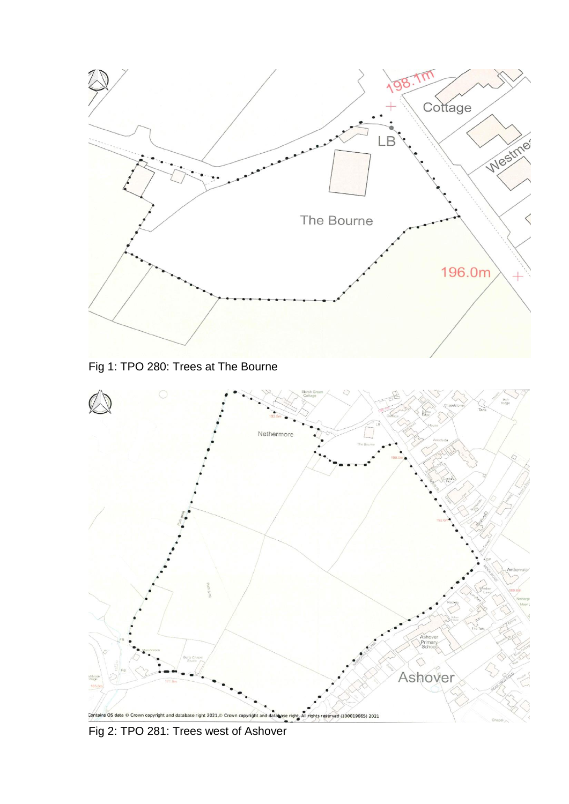

Fig 1: TPO 280: Trees at The Bourne



Fig 2: TPO 281: Trees west of Ashover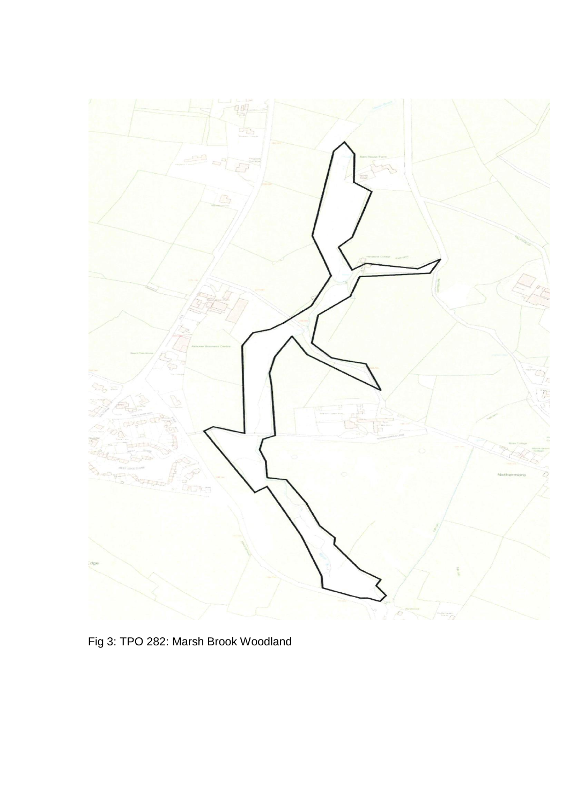

Fig 3: TPO 282: Marsh Brook Woodland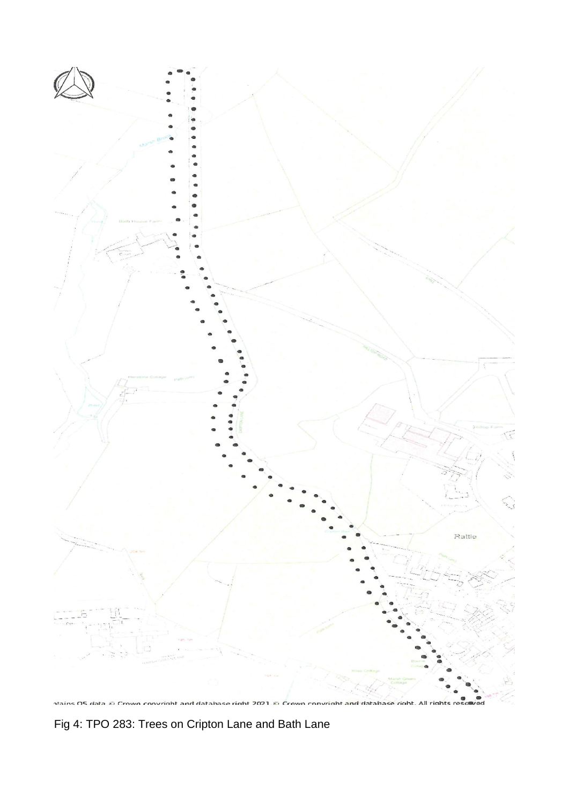

stains OS data © Crown convright and database right 2021.© Crown convright and database right. All rights resol

Fig 4: TPO 283: Trees on Cripton Lane and Bath Lane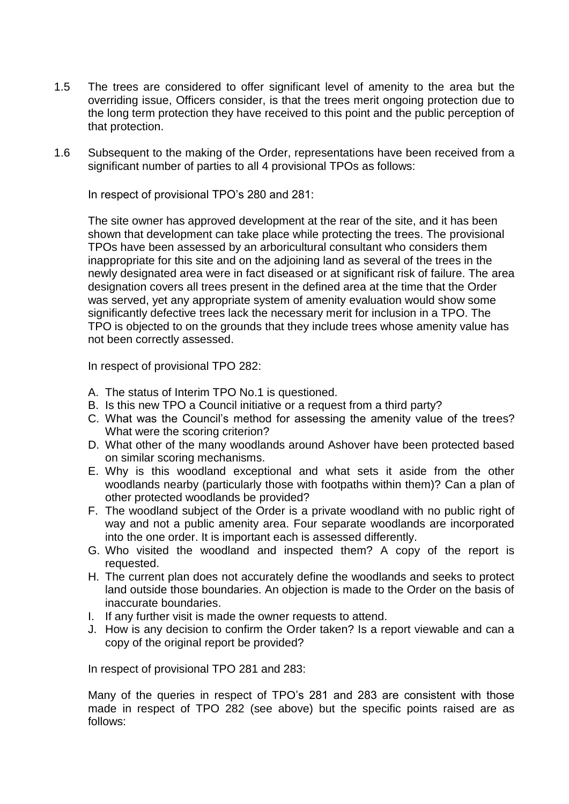- 1.5 The trees are considered to offer significant level of amenity to the area but the overriding issue, Officers consider, is that the trees merit ongoing protection due to the long term protection they have received to this point and the public perception of that protection.
- 1.6 Subsequent to the making of the Order, representations have been received from a significant number of parties to all 4 provisional TPOs as follows:

In respect of provisional TPO's 280 and 281:

The site owner has approved development at the rear of the site, and it has been shown that development can take place while protecting the trees. The provisional TPOs have been assessed by an arboricultural consultant who considers them inappropriate for this site and on the adjoining land as several of the trees in the newly designated area were in fact diseased or at significant risk of failure. The area designation covers all trees present in the defined area at the time that the Order was served, yet any appropriate system of amenity evaluation would show some significantly defective trees lack the necessary merit for inclusion in a TPO. The TPO is objected to on the grounds that they include trees whose amenity value has not been correctly assessed.

In respect of provisional TPO 282:

- A. The status of Interim TPO No.1 is questioned.
- B. Is this new TPO a Council initiative or a request from a third party?
- C. What was the Council's method for assessing the amenity value of the trees? What were the scoring criterion?
- D. What other of the many woodlands around Ashover have been protected based on similar scoring mechanisms.
- E. Why is this woodland exceptional and what sets it aside from the other woodlands nearby (particularly those with footpaths within them)? Can a plan of other protected woodlands be provided?
- F. The woodland subject of the Order is a private woodland with no public right of way and not a public amenity area. Four separate woodlands are incorporated into the one order. It is important each is assessed differently.
- G. Who visited the woodland and inspected them? A copy of the report is requested.
- H. The current plan does not accurately define the woodlands and seeks to protect land outside those boundaries. An objection is made to the Order on the basis of inaccurate boundaries.
- I. If any further visit is made the owner requests to attend.
- J. How is any decision to confirm the Order taken? Is a report viewable and can a copy of the original report be provided?

In respect of provisional TPO 281 and 283:

Many of the queries in respect of TPO's 281 and 283 are consistent with those made in respect of TPO 282 (see above) but the specific points raised are as follows: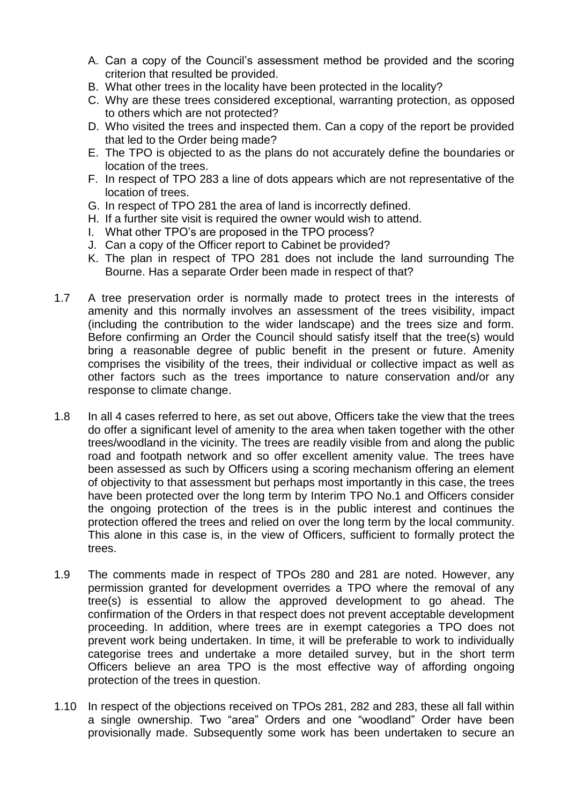- A. Can a copy of the Council's assessment method be provided and the scoring criterion that resulted be provided.
- B. What other trees in the locality have been protected in the locality?
- C. Why are these trees considered exceptional, warranting protection, as opposed to others which are not protected?
- D. Who visited the trees and inspected them. Can a copy of the report be provided that led to the Order being made?
- E. The TPO is objected to as the plans do not accurately define the boundaries or location of the trees.
- F. In respect of TPO 283 a line of dots appears which are not representative of the location of trees.
- G. In respect of TPO 281 the area of land is incorrectly defined.
- H. If a further site visit is required the owner would wish to attend.
- I. What other TPO's are proposed in the TPO process?
- J. Can a copy of the Officer report to Cabinet be provided?
- K. The plan in respect of TPO 281 does not include the land surrounding The Bourne. Has a separate Order been made in respect of that?
- 1.7 A tree preservation order is normally made to protect trees in the interests of amenity and this normally involves an assessment of the trees visibility, impact (including the contribution to the wider landscape) and the trees size and form. Before confirming an Order the Council should satisfy itself that the tree(s) would bring a reasonable degree of public benefit in the present or future. Amenity comprises the visibility of the trees, their individual or collective impact as well as other factors such as the trees importance to nature conservation and/or any response to climate change.
- 1.8 In all 4 cases referred to here, as set out above, Officers take the view that the trees do offer a significant level of amenity to the area when taken together with the other trees/woodland in the vicinity. The trees are readily visible from and along the public road and footpath network and so offer excellent amenity value. The trees have been assessed as such by Officers using a scoring mechanism offering an element of objectivity to that assessment but perhaps most importantly in this case, the trees have been protected over the long term by Interim TPO No.1 and Officers consider the ongoing protection of the trees is in the public interest and continues the protection offered the trees and relied on over the long term by the local community. This alone in this case is, in the view of Officers, sufficient to formally protect the trees.
- 1.9 The comments made in respect of TPOs 280 and 281 are noted. However, any permission granted for development overrides a TPO where the removal of any tree(s) is essential to allow the approved development to go ahead. The confirmation of the Orders in that respect does not prevent acceptable development proceeding. In addition, where trees are in exempt categories a TPO does not prevent work being undertaken. In time, it will be preferable to work to individually categorise trees and undertake a more detailed survey, but in the short term Officers believe an area TPO is the most effective way of affording ongoing protection of the trees in question.
- 1.10 In respect of the objections received on TPOs 281, 282 and 283, these all fall within a single ownership. Two "area" Orders and one "woodland" Order have been provisionally made. Subsequently some work has been undertaken to secure an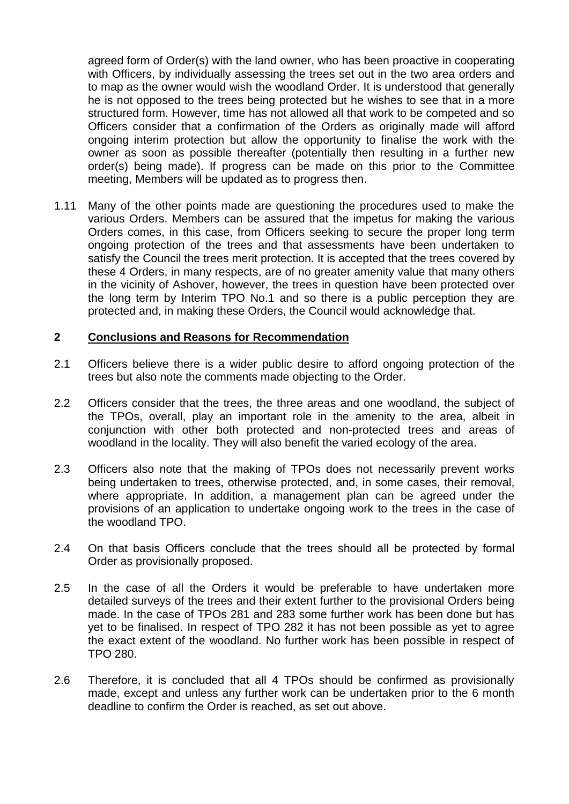agreed form of Order(s) with the land owner, who has been proactive in cooperating with Officers, by individually assessing the trees set out in the two area orders and to map as the owner would wish the woodland Order. It is understood that generally he is not opposed to the trees being protected but he wishes to see that in a more structured form. However, time has not allowed all that work to be competed and so Officers consider that a confirmation of the Orders as originally made will afford ongoing interim protection but allow the opportunity to finalise the work with the owner as soon as possible thereafter (potentially then resulting in a further new order(s) being made). If progress can be made on this prior to the Committee meeting, Members will be updated as to progress then.

1.11 Many of the other points made are questioning the procedures used to make the various Orders. Members can be assured that the impetus for making the various Orders comes, in this case, from Officers seeking to secure the proper long term ongoing protection of the trees and that assessments have been undertaken to satisfy the Council the trees merit protection. It is accepted that the trees covered by these 4 Orders, in many respects, are of no greater amenity value that many others in the vicinity of Ashover, however, the trees in question have been protected over the long term by Interim TPO No.1 and so there is a public perception they are protected and, in making these Orders, the Council would acknowledge that.

#### **2 Conclusions and Reasons for Recommendation**

- 2.1 Officers believe there is a wider public desire to afford ongoing protection of the trees but also note the comments made objecting to the Order.
- 2.2 Officers consider that the trees, the three areas and one woodland, the subject of the TPOs, overall, play an important role in the amenity to the area, albeit in conjunction with other both protected and non-protected trees and areas of woodland in the locality. They will also benefit the varied ecology of the area.
- 2.3 Officers also note that the making of TPOs does not necessarily prevent works being undertaken to trees, otherwise protected, and, in some cases, their removal, where appropriate. In addition, a management plan can be agreed under the provisions of an application to undertake ongoing work to the trees in the case of the woodland TPO.
- 2.4 On that basis Officers conclude that the trees should all be protected by formal Order as provisionally proposed.
- 2.5 In the case of all the Orders it would be preferable to have undertaken more detailed surveys of the trees and their extent further to the provisional Orders being made. In the case of TPOs 281 and 283 some further work has been done but has yet to be finalised. In respect of TPO 282 it has not been possible as yet to agree the exact extent of the woodland. No further work has been possible in respect of TPO 280.
- 2.6 Therefore, it is concluded that all 4 TPOs should be confirmed as provisionally made, except and unless any further work can be undertaken prior to the 6 month deadline to confirm the Order is reached, as set out above.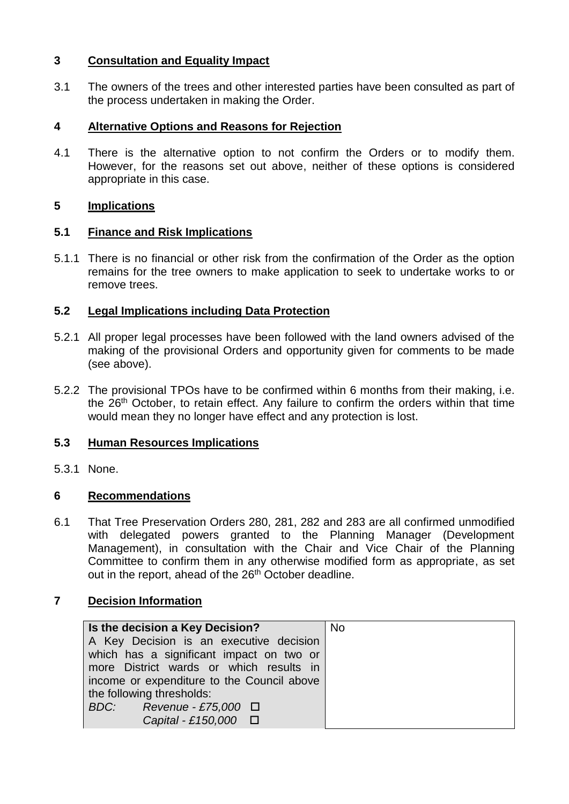# **3 Consultation and Equality Impact**

3.1 The owners of the trees and other interested parties have been consulted as part of the process undertaken in making the Order.

# **4 Alternative Options and Reasons for Rejection**

4.1 There is the alternative option to not confirm the Orders or to modify them. However, for the reasons set out above, neither of these options is considered appropriate in this case.

#### **5 Implications**

#### **5.1 Finance and Risk Implications**

5.1.1 There is no financial or other risk from the confirmation of the Order as the option remains for the tree owners to make application to seek to undertake works to or remove trees.

# **5.2 Legal Implications including Data Protection**

- 5.2.1 All proper legal processes have been followed with the land owners advised of the making of the provisional Orders and opportunity given for comments to be made (see above).
- 5.2.2 The provisional TPOs have to be confirmed within 6 months from their making, i.e. the 26<sup>th</sup> October, to retain effect. Any failure to confirm the orders within that time would mean they no longer have effect and any protection is lost.

# **5.3 Human Resources Implications**

5.3.1 None.

#### **6 Recommendations**

6.1 That Tree Preservation Orders 280, 281, 282 and 283 are all confirmed unmodified with delegated powers granted to the Planning Manager (Development Management), in consultation with the Chair and Vice Chair of the Planning Committee to confirm them in any otherwise modified form as appropriate, as set out in the report, ahead of the 26<sup>th</sup> October deadline.

#### **7 Decision Information**

| Is the decision a Key Decision?            | <b>No</b> |
|--------------------------------------------|-----------|
| A Key Decision is an executive decision    |           |
| which has a significant impact on two or   |           |
| more District wards or which results in    |           |
| income or expenditure to the Council above |           |
| the following thresholds:                  |           |
| BDC: Revenue - £75,000 $\Box$              |           |
| Capital - £150,000 $\Box$                  |           |